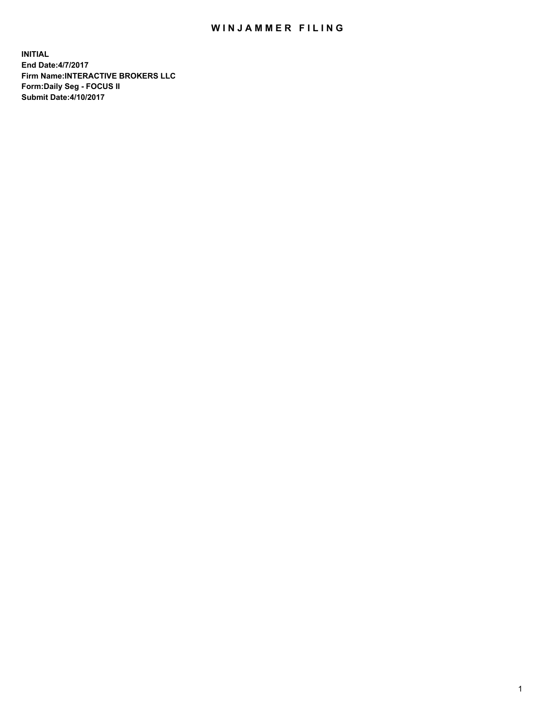## WIN JAMMER FILING

**INITIAL End Date:4/7/2017 Firm Name:INTERACTIVE BROKERS LLC Form:Daily Seg - FOCUS II Submit Date:4/10/2017**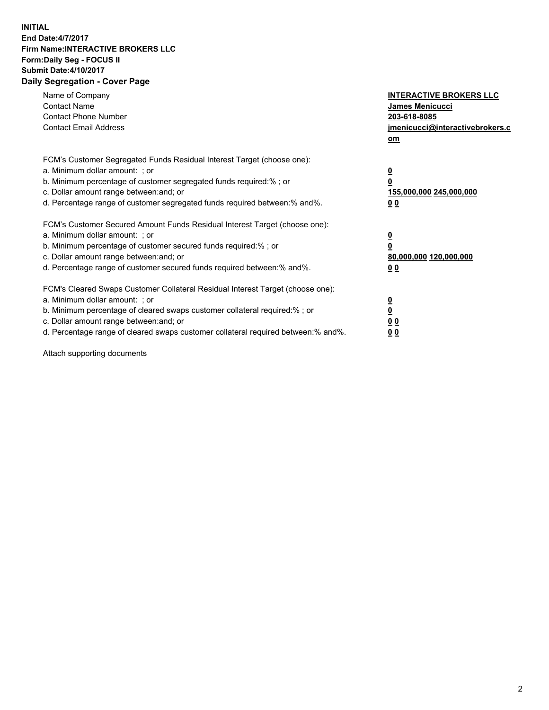## **INITIAL End Date:4/7/2017 Firm Name:INTERACTIVE BROKERS LLC Form:Daily Seg - FOCUS II Submit Date:4/10/2017 Daily Segregation - Cover Page**

| Name of Company<br><b>Contact Name</b><br><b>Contact Phone Number</b><br><b>Contact Email Address</b>                                                                                                                                                                                                                          | <b>INTERACTIVE BROKERS LLC</b><br><b>James Menicucci</b><br>203-618-8085<br>jmenicucci@interactivebrokers.c<br>om |
|--------------------------------------------------------------------------------------------------------------------------------------------------------------------------------------------------------------------------------------------------------------------------------------------------------------------------------|-------------------------------------------------------------------------------------------------------------------|
| FCM's Customer Segregated Funds Residual Interest Target (choose one):<br>a. Minimum dollar amount: ; or<br>b. Minimum percentage of customer segregated funds required:% ; or<br>c. Dollar amount range between: and; or<br>d. Percentage range of customer segregated funds required between: % and %.                       | $\overline{\mathbf{0}}$<br>0<br>155,000,000 245,000,000<br>00                                                     |
| FCM's Customer Secured Amount Funds Residual Interest Target (choose one):<br>a. Minimum dollar amount: ; or<br>b. Minimum percentage of customer secured funds required:%; or<br>c. Dollar amount range between: and; or<br>d. Percentage range of customer secured funds required between: % and %.                          | $\overline{\mathbf{0}}$<br>0<br>80,000,000 120,000,000<br>0 <sub>0</sub>                                          |
| FCM's Cleared Swaps Customer Collateral Residual Interest Target (choose one):<br>a. Minimum dollar amount: ; or<br>b. Minimum percentage of cleared swaps customer collateral required:% ; or<br>c. Dollar amount range between: and; or<br>d. Percentage range of cleared swaps customer collateral required between:% and%. | $\overline{\mathbf{0}}$<br>$\underline{\mathbf{0}}$<br>0 <sub>0</sub><br>0 <sub>0</sub>                           |

Attach supporting documents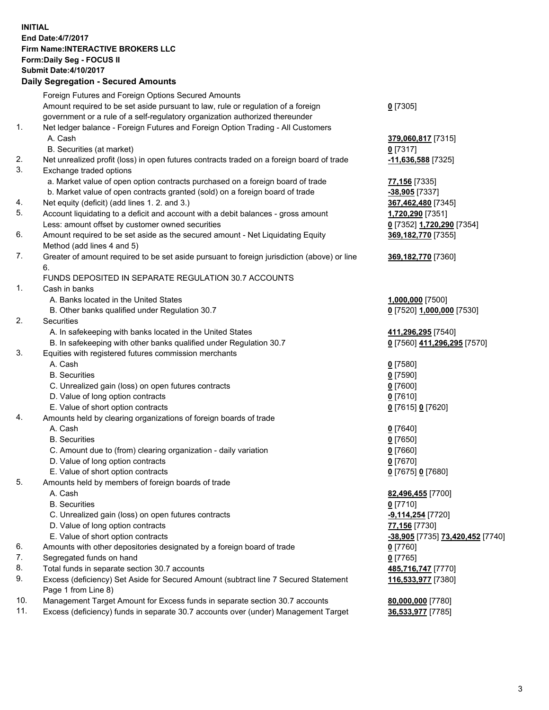## **INITIAL End Date:4/7/2017 Firm Name:INTERACTIVE BROKERS LLC Form:Daily Seg - FOCUS II Submit Date:4/10/2017 Daily Segregation - Secured Amounts**

|     | Pany Obgrogation Obbarba / 11110ani                                                         |                                  |
|-----|---------------------------------------------------------------------------------------------|----------------------------------|
|     | Foreign Futures and Foreign Options Secured Amounts                                         |                                  |
|     | Amount required to be set aside pursuant to law, rule or regulation of a foreign            | $0$ [7305]                       |
|     | government or a rule of a self-regulatory organization authorized thereunder                |                                  |
| 1.  | Net ledger balance - Foreign Futures and Foreign Option Trading - All Customers             |                                  |
|     | A. Cash                                                                                     | 379,060,817 [7315]               |
|     | B. Securities (at market)                                                                   | 0 [7317]                         |
| 2.  | Net unrealized profit (loss) in open futures contracts traded on a foreign board of trade   | $-11,636,588$ [7325]             |
| 3.  | Exchange traded options                                                                     |                                  |
|     | a. Market value of open option contracts purchased on a foreign board of trade              | 77,156 [7335]                    |
|     | b. Market value of open contracts granted (sold) on a foreign board of trade                | -38,905 [7337]                   |
| 4.  | Net equity (deficit) (add lines 1.2. and 3.)                                                | 367,462,480 [7345]               |
| 5.  | Account liquidating to a deficit and account with a debit balances - gross amount           | 1,720,290 [7351]                 |
|     | Less: amount offset by customer owned securities                                            | 0 [7352] 1,720,290 [7354]        |
| 6.  | Amount required to be set aside as the secured amount - Net Liquidating Equity              | 369,182,770 [7355]               |
|     | Method (add lines 4 and 5)                                                                  |                                  |
| 7.  | Greater of amount required to be set aside pursuant to foreign jurisdiction (above) or line | 369,182,770 [7360]               |
|     | 6.                                                                                          |                                  |
|     | FUNDS DEPOSITED IN SEPARATE REGULATION 30.7 ACCOUNTS                                        |                                  |
| 1.  | Cash in banks                                                                               |                                  |
|     | A. Banks located in the United States                                                       | 1,000,000 [7500]                 |
|     | B. Other banks qualified under Regulation 30.7                                              | 0 [7520] 1,000,000 [7530]        |
| 2.  | Securities                                                                                  |                                  |
|     | A. In safekeeping with banks located in the United States                                   | 411,296,295 [7540]               |
|     | B. In safekeeping with other banks qualified under Regulation 30.7                          | 0 [7560] 411,296,295 [7570]      |
| 3.  | Equities with registered futures commission merchants                                       |                                  |
|     | A. Cash                                                                                     | $0$ [7580]                       |
|     | <b>B.</b> Securities                                                                        | $0$ [7590]                       |
|     | C. Unrealized gain (loss) on open futures contracts                                         | $0$ [7600]                       |
|     | D. Value of long option contracts                                                           | $0$ [7610]                       |
| 4.  | E. Value of short option contracts                                                          | 0 [7615] 0 [7620]                |
|     | Amounts held by clearing organizations of foreign boards of trade<br>A. Cash                |                                  |
|     | <b>B.</b> Securities                                                                        | $0$ [7640]                       |
|     | C. Amount due to (from) clearing organization - daily variation                             | $0$ [7650]<br>$0$ [7660]         |
|     | D. Value of long option contracts                                                           | $0$ [7670]                       |
|     | E. Value of short option contracts                                                          | 0 [7675] 0 [7680]                |
| 5.  | Amounts held by members of foreign boards of trade                                          |                                  |
|     | A. Cash                                                                                     | 82,496,455 [7700]                |
|     | <b>B.</b> Securities                                                                        | $0$ [7710]                       |
|     | C. Unrealized gain (loss) on open futures contracts                                         | -9,114,254 [7720]                |
|     | D. Value of long option contracts                                                           | 77,156 [7730]                    |
|     | E. Value of short option contracts                                                          | -38,905 [7735] 73,420,452 [7740] |
| 6.  | Amounts with other depositories designated by a foreign board of trade                      | 0 [7760]                         |
| 7.  | Segregated funds on hand                                                                    | $0$ [7765]                       |
| 8.  | Total funds in separate section 30.7 accounts                                               | 485,716,747 [7770]               |
| 9.  | Excess (deficiency) Set Aside for Secured Amount (subtract line 7 Secured Statement         | 116,533,977 [7380]               |
|     | Page 1 from Line 8)                                                                         |                                  |
| 10. | Management Target Amount for Excess funds in separate section 30.7 accounts                 | 80,000,000 [7780]                |
| 11. | Excess (deficiency) funds in separate 30.7 accounts over (under) Management Target          | 36,533,977 [7785]                |
|     |                                                                                             |                                  |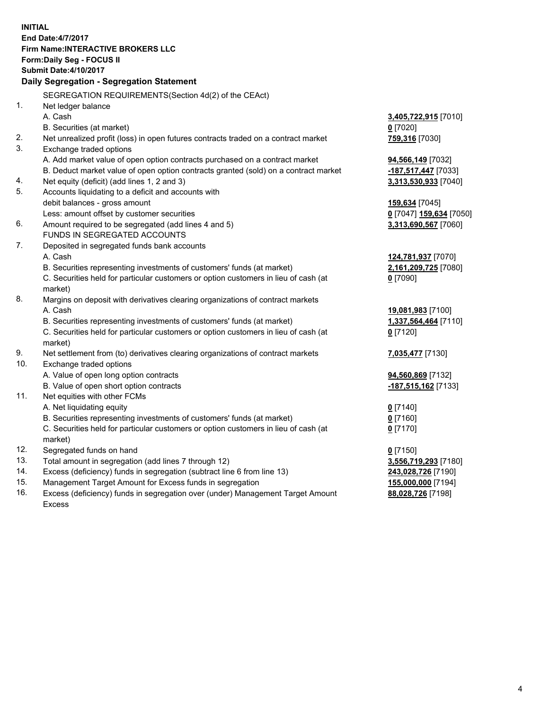**INITIAL End Date:4/7/2017 Firm Name:INTERACTIVE BROKERS LLC Form:Daily Seg - FOCUS II Submit Date:4/10/2017 Daily Segregation - Segregation Statement** SEGREGATION REQUIREMENTS(Section 4d(2) of the CEAct) 1. Net ledger balance A. Cash **3,405,722,915** [7010] B. Securities (at market) **0** [7020] 2. Net unrealized profit (loss) in open futures contracts traded on a contract market **759,316** [7030] 3. Exchange traded options A. Add market value of open option contracts purchased on a contract market **94,566,149** [7032] B. Deduct market value of open option contracts granted (sold) on a contract market **-187,517,447** [7033] 4. Net equity (deficit) (add lines 1, 2 and 3) **3,313,530,933** [7040] 5. Accounts liquidating to a deficit and accounts with debit balances - gross amount **159,634** [7045] Less: amount offset by customer securities **0** [7047] **159,634** [7050] 6. Amount required to be segregated (add lines 4 and 5) **3,313,690,567** [7060] FUNDS IN SEGREGATED ACCOUNTS 7. Deposited in segregated funds bank accounts A. Cash **124,781,937** [7070] B. Securities representing investments of customers' funds (at market) **2,161,209,725** [7080] C. Securities held for particular customers or option customers in lieu of cash (at market) **0** [7090] 8. Margins on deposit with derivatives clearing organizations of contract markets A. Cash **19,081,983** [7100] B. Securities representing investments of customers' funds (at market) **1,337,564,464** [7110] C. Securities held for particular customers or option customers in lieu of cash (at market) **0** [7120] 9. Net settlement from (to) derivatives clearing organizations of contract markets **7,035,477** [7130] 10. Exchange traded options A. Value of open long option contracts **94,560,869** [7132] B. Value of open short option contracts **-187,515,162** [7133] 11. Net equities with other FCMs A. Net liquidating equity **0** [7140] B. Securities representing investments of customers' funds (at market) **0** [7160] C. Securities held for particular customers or option customers in lieu of cash (at market) **0** [7170] 12. Segregated funds on hand **0** [7150] 13. Total amount in segregation (add lines 7 through 12) **3,556,719,293** [7180] 14. Excess (deficiency) funds in segregation (subtract line 6 from line 13) **243,028,726** [7190] 15. Management Target Amount for Excess funds in segregation **155,000,000** [7194]

16. Excess (deficiency) funds in segregation over (under) Management Target Amount Excess

**88,028,726** [7198]